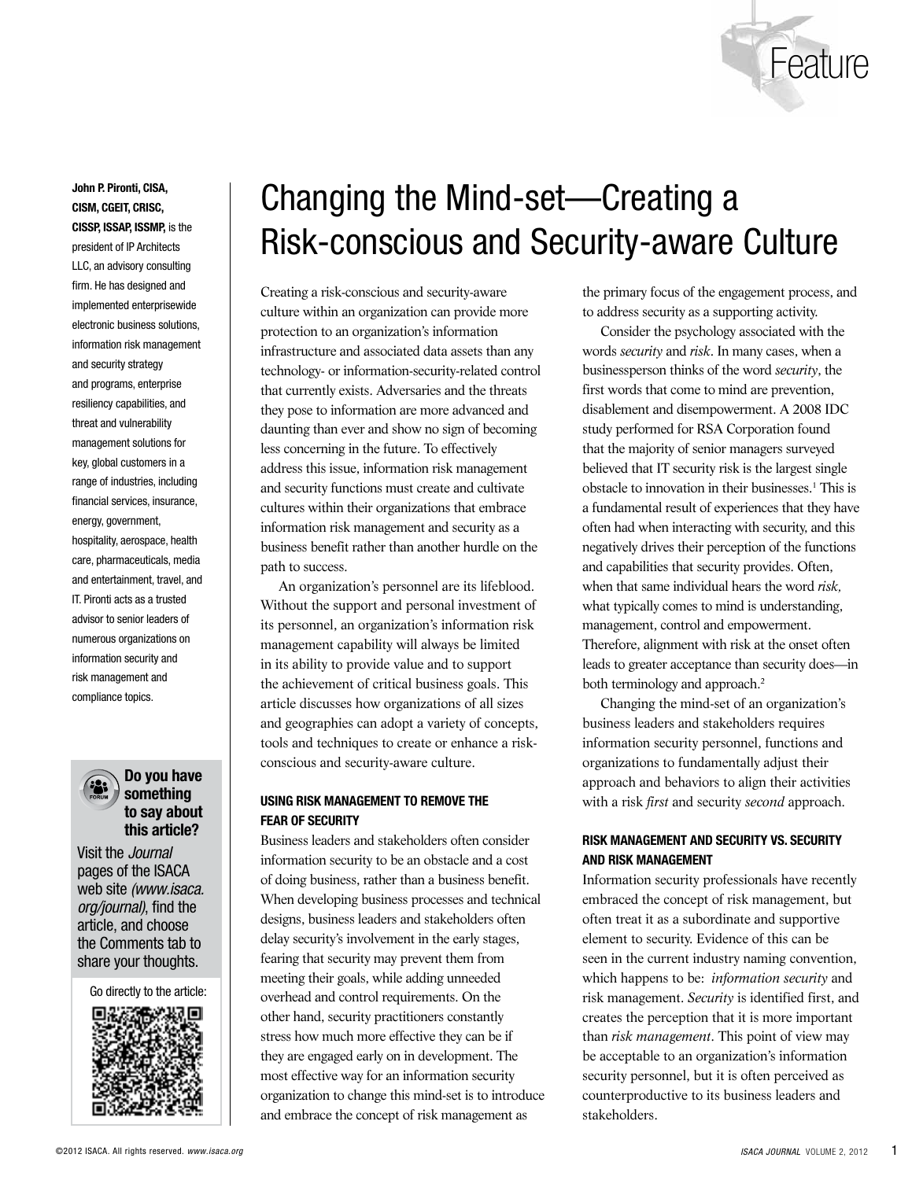

**John P. Pironti, CISA, CISM, CGEIT, CRISC, CISSP, ISSAP, ISSMP,** is the president of IP Architects LLC, an advisory consulting firm. He has designed and implemented enterprisewide electronic business solutions, information risk management and security strategy and programs, enterprise resiliency capabilities, and threat and vulnerability management solutions for key, global customers in a range of industries, including financial services, insurance, energy, government, hospitality, aerospace, health care, pharmaceuticals, media and entertainment, travel, and IT. Pironti acts as a trusted advisor to senior leaders of numerous organizations on information security and risk management and compliance topics.



#### **Do you have something to say about this article?**

Visit the Journal pages of the ISACA web site (www.isaca. org/journal), find the article, and choose the Comments tab to share your thoughts.

Go directly to the article:



# Changing the Mind-set—Creating a Risk-conscious and Security-aware Culture

Creating a risk-conscious and security-aware culture within an organization can provide more protection to an organization's information infrastructure and associated data assets than any technology- or information-security-related control that currently exists. Adversaries and the threats they pose to information are more advanced and daunting than ever and show no sign of becoming less concerning in the future. To effectively address this issue, information risk management and security functions must create and cultivate cultures within their organizations that embrace information risk management and security as a business benefit rather than another hurdle on the path to success.

An organization's personnel are its lifeblood. Without the support and personal investment of its personnel, an organization's information risk management capability will always be limited in its ability to provide value and to support the achievement of critical business goals. This article discusses how organizations of all sizes and geographies can adopt a variety of concepts, tools and techniques to create or enhance a riskconscious and security-aware culture.

#### **USING RISK MANAGEMENT TO REMOVE THE FEAR OF SECURITY**

Business leaders and stakeholders often consider information security to be an obstacle and a cost of doing business, rather than a business benefit. When developing business processes and technical designs, business leaders and stakeholders often delay security's involvement in the early stages, fearing that security may prevent them from meeting their goals, while adding unneeded overhead and control requirements. On the other hand, security practitioners constantly stress how much more effective they can be if they are engaged early on in development. The most effective way for an information security organization to change this mind-set is to introduce and embrace the concept of risk management as

the primary focus of the engagement process, and to address security as a supporting activity.

Consider the psychology associated with the words *security* and *risk*. In many cases, when a businessperson thinks of the word *security*, the first words that come to mind are prevention, disablement and disempowerment. A 2008 IDC study performed for RSA Corporation found that the majority of senior managers surveyed believed that IT security risk is the largest single obstacle to innovation in their businesses.1 This is a fundamental result of experiences that they have often had when interacting with security, and this negatively drives their perception of the functions and capabilities that security provides. Often, when that same individual hears the word *risk,* what typically comes to mind is understanding, management, control and empowerment. Therefore, alignment with risk at the onset often leads to greater acceptance than security does—in both terminology and approach.<sup>2</sup>

Changing the mind-set of an organization's business leaders and stakeholders requires information security personnel, functions and organizations to fundamentally adjust their approach and behaviors to align their activities with a risk *first* and security *second* approach.

#### **RISK MANAGEMENT AND SECURITY VS. SECURITY AND RISK MANAGEMENT**

Information security professionals have recently embraced the concept of risk management, but often treat it as a subordinate and supportive element to security. Evidence of this can be seen in the current industry naming convention, which happens to be: *information security* and risk management. *Security* is identified first, and creates the perception that it is more important than *risk management*. This point of view may be acceptable to an organization's information security personnel, but it is often perceived as counterproductive to its business leaders and stakeholders.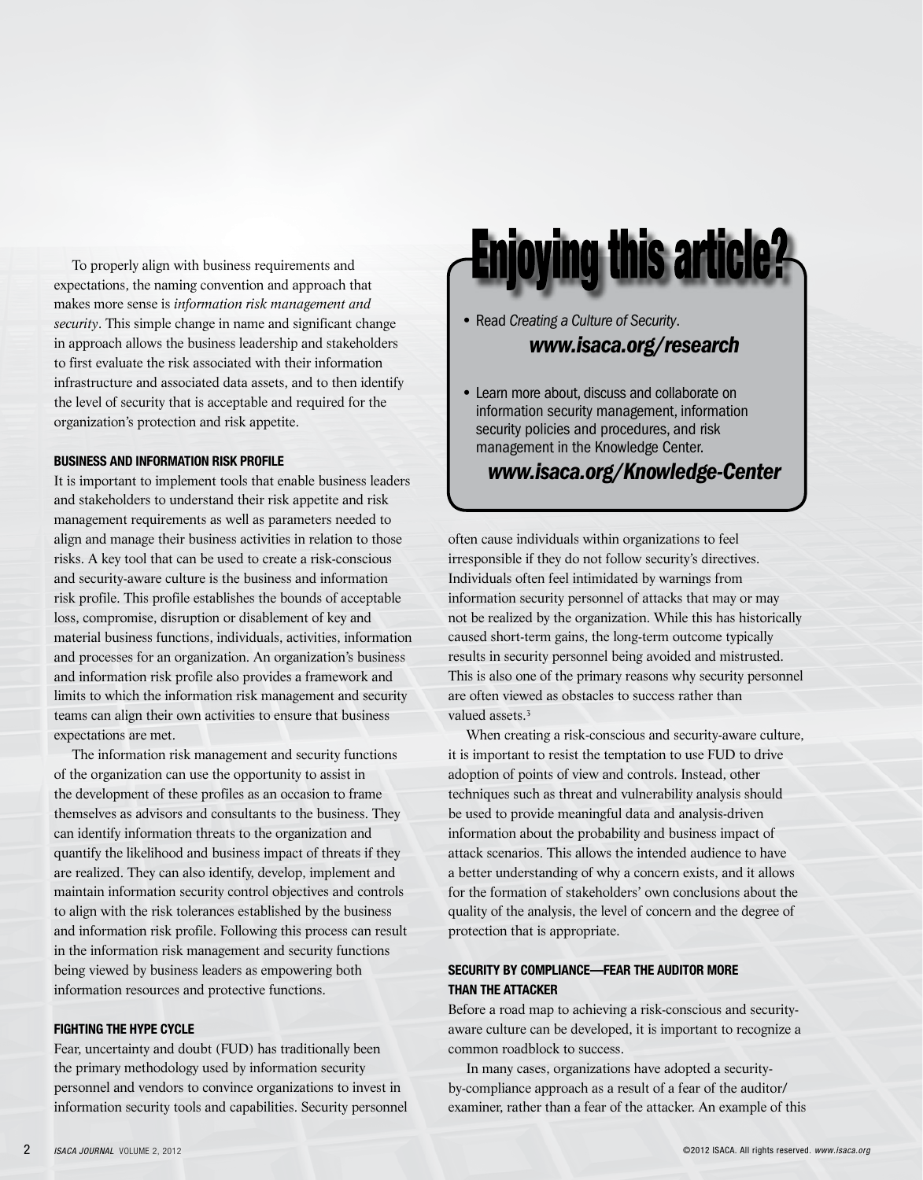To properly align with business requirements and expectations, the naming convention and approach that makes more sense is *information risk management and security*. This simple change in name and significant change in approach allows the business leadership and stakeholders to first evaluate the risk associated with their information infrastructure and associated data assets, and to then identify the level of security that is acceptable and required for the organization's protection and risk appetite.

#### **BUSINESS AND INFORMATION RISK PROFILE**

It is important to implement tools that enable business leaders and stakeholders to understand their risk appetite and risk management requirements as well as parameters needed to align and manage their business activities in relation to those risks. A key tool that can be used to create a risk-conscious and security-aware culture is the business and information risk profile. This profile establishes the bounds of acceptable loss, compromise, disruption or disablement of key and material business functions, individuals, activities, information and processes for an organization. An organization's business and information risk profile also provides a framework and limits to which the information risk management and security teams can align their own activities to ensure that business expectations are met.

The information risk management and security functions of the organization can use the opportunity to assist in the development of these profiles as an occasion to frame themselves as advisors and consultants to the business. They can identify information threats to the organization and quantify the likelihood and business impact of threats if they are realized. They can also identify, develop, implement and maintain information security control objectives and controls to align with the risk tolerances established by the business and information risk profile. Following this process can result in the information risk management and security functions being viewed by business leaders as empowering both information resources and protective functions.

#### **FIGHTING THE HYPE CYCLE**

Fear, uncertainty and doubt (FUD) has traditionally been the primary methodology used by information security personnel and vendors to convince organizations to invest in information security tools and capabilities. Security personnel

# **Enjoying this article?**

• Read *Creating a Culture of Security*.

### *www.isaca.org/research*

• Learn more about, discuss and collaborate on information security management, information security policies and procedures, and risk management in the Knowledge Center.

## *www.isaca.org/Knowledge-Center*

often cause individuals within organizations to feel irresponsible if they do not follow security's directives. Individuals often feel intimidated by warnings from information security personnel of attacks that may or may not be realized by the organization. While this has historically caused short-term gains, the long-term outcome typically results in security personnel being avoided and mistrusted. This is also one of the primary reasons why security personnel are often viewed as obstacles to success rather than valued assets.<sup>3</sup>

When creating a risk-conscious and security-aware culture, it is important to resist the temptation to use FUD to drive adoption of points of view and controls. Instead, other techniques such as threat and vulnerability analysis should be used to provide meaningful data and analysis-driven information about the probability and business impact of attack scenarios. This allows the intended audience to have a better understanding of why a concern exists, and it allows for the formation of stakeholders' own conclusions about the quality of the analysis, the level of concern and the degree of protection that is appropriate.

#### **SECURITY BY COMPLIANCE—FEAR THE AUDITOR MORE THAN THE ATTACKER**

Before a road map to achieving a risk-conscious and securityaware culture can be developed, it is important to recognize a common roadblock to success.

In many cases, organizations have adopted a securityby-compliance approach as a result of a fear of the auditor/ examiner, rather than a fear of the attacker. An example of this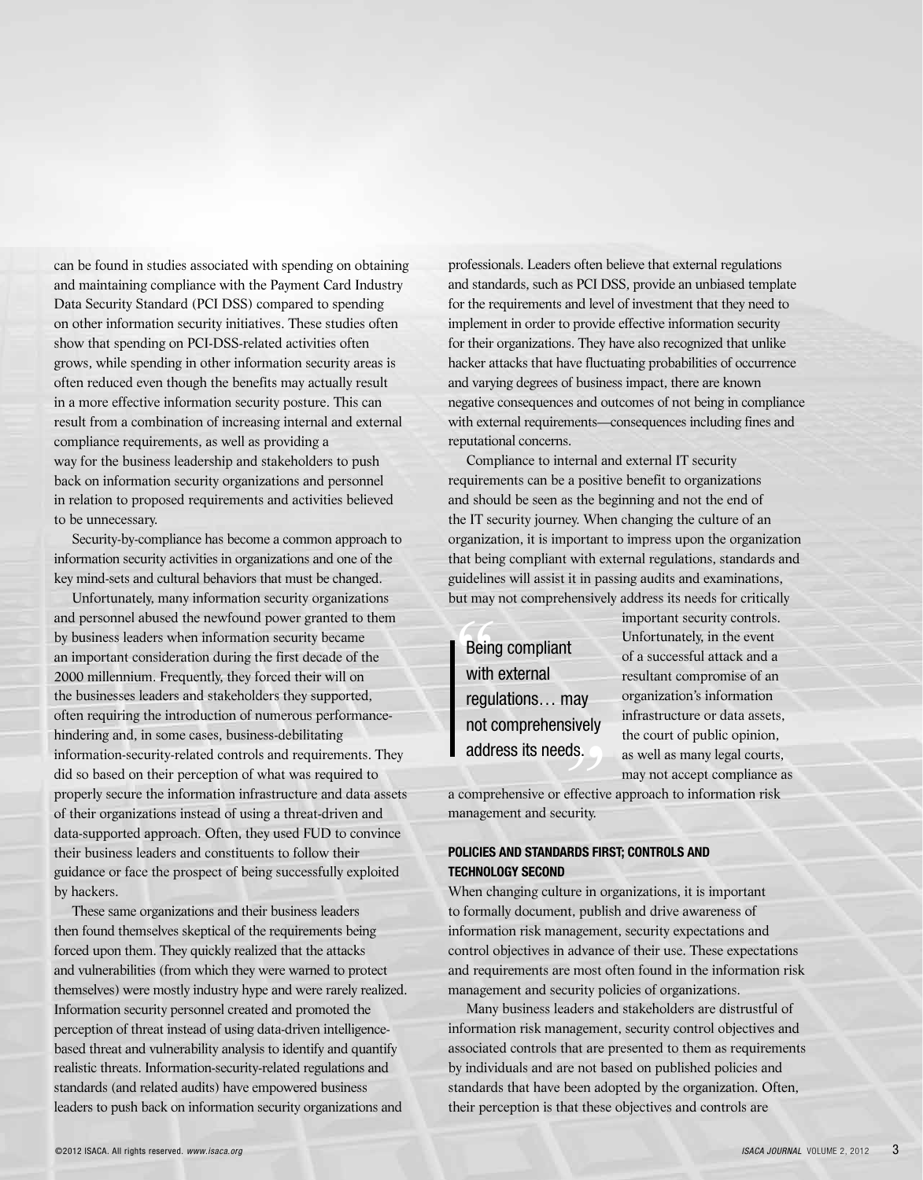can be found in studies associated with spending on obtaining and maintaining compliance with the Payment Card Industry Data Security Standard (PCI DSS) compared to spending on other information security initiatives. These studies often show that spending on PCI-DSS-related activities often grows, while spending in other information security areas is often reduced even though the benefits may actually result in a more effective information security posture. This can result from a combination of increasing internal and external compliance requirements, as well as providing a way for the business leadership and stakeholders to push back on information security organizations and personnel in relation to proposed requirements and activities believed to be unnecessary.

Security-by-compliance has become a common approach to information security activities in organizations and one of the key mind-sets and cultural behaviors that must be changed.

Unfortunately, many information security organizations and personnel abused the newfound power granted to them by business leaders when information security became an important consideration during the first decade of the 2000 millennium. Frequently, they forced their will on the businesses leaders and stakeholders they supported, often requiring the introduction of numerous performancehindering and, in some cases, business-debilitating information-security-related controls and requirements. They did so based on their perception of what was required to properly secure the information infrastructure and data assets of their organizations instead of using a threat-driven and data-supported approach. Often, they used FUD to convince their business leaders and constituents to follow their guidance or face the prospect of being successfully exploited by hackers.

These same organizations and their business leaders then found themselves skeptical of the requirements being forced upon them. They quickly realized that the attacks and vulnerabilities (from which they were warned to protect themselves) were mostly industry hype and were rarely realized. Information security personnel created and promoted the perception of threat instead of using data-driven intelligencebased threat and vulnerability analysis to identify and quantify realistic threats. Information-security-related regulations and standards (and related audits) have empowered business leaders to push back on information security organizations and

professionals. Leaders often believe that external regulations and standards, such as PCI DSS, provide an unbiased template for the requirements and level of investment that they need to implement in order to provide effective information security for their organizations. They have also recognized that unlike hacker attacks that have fluctuating probabilities of occurrence and varying degrees of business impact, there are known negative consequences and outcomes of not being in compliance with external requirements—consequences including fines and reputational concerns.

Compliance to internal and external IT security requirements can be a positive benefit to organizations and should be seen as the beginning and not the end of the IT security journey. When changing the culture of an organization, it is important to impress upon the organization that being compliant with external regulations, standards and guidelines will assist it in passing audits and examinations, but may not comprehensively address its needs for critically

Being<br>with<br>regul Being compliant with external regulations… may not comprehensively address its needs.

important security controls. Unfortunately, in the event of a successful attack and a resultant compromise of an organization's information infrastructure or data assets, the court of public opinion, as well as many legal courts, may not accept compliance as

a comprehensive or effective approach to information risk management and security. **cds.**<br>effective<br>curity.

#### **POLICIES AND STANDARDS FIRST; CONTROLS AND TECHNOLOGY SECOND**

When changing culture in organizations, it is important to formally document, publish and drive awareness of information risk management, security expectations and control objectives in advance of their use. These expectations and requirements are most often found in the information risk management and security policies of organizations.

Many business leaders and stakeholders are distrustful of information risk management, security control objectives and associated controls that are presented to them as requirements by individuals and are not based on published policies and standards that have been adopted by the organization. Often, their perception is that these objectives and controls are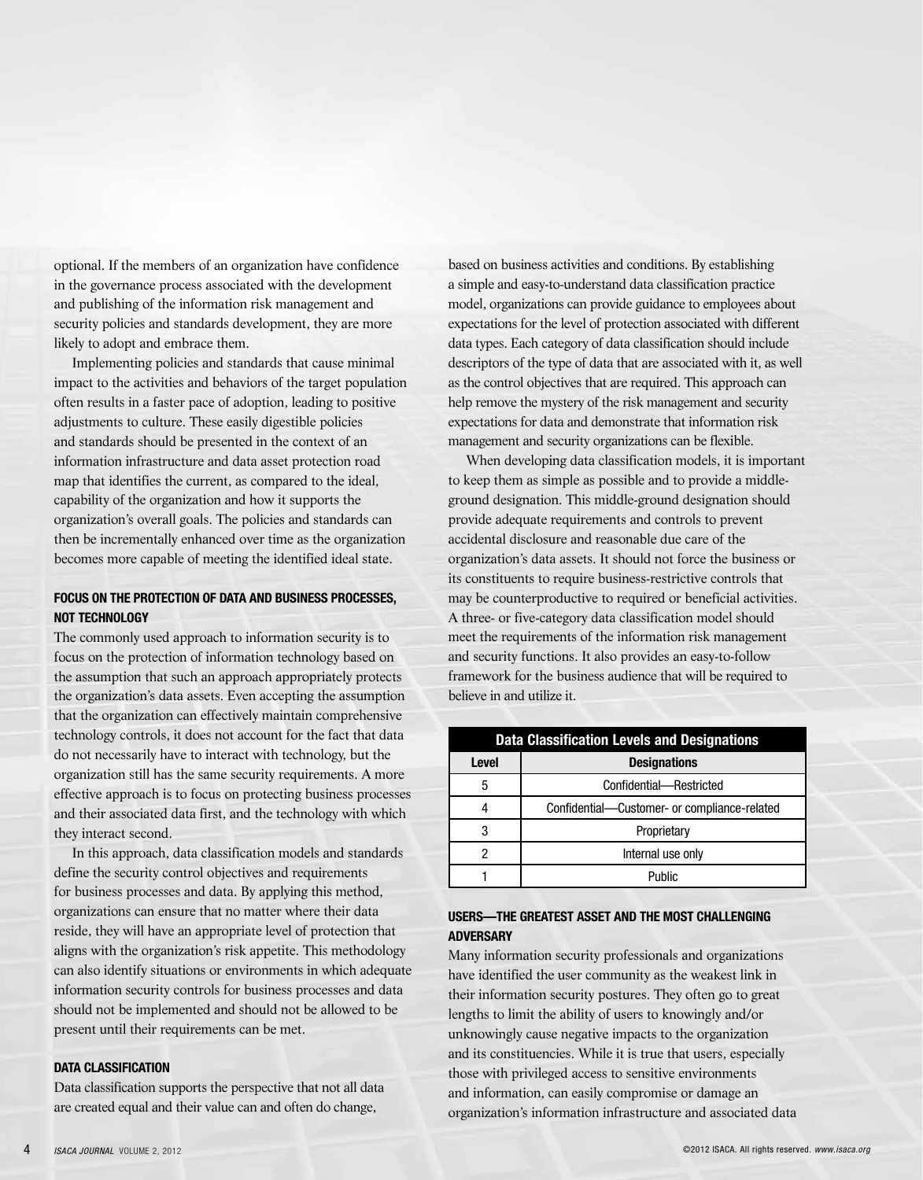optional. If the members of an organization have confidence in the governance process associated with the development and publishing of the information risk management and security policies and standards development, they are more likely to adopt and embrace them.

Implementing policies and standards that cause minimal impact to the activities and behaviors of the target population often results in a faster pace of adoption, leading to positive adjustments to culture. These easily digestible policies and standards should be presented in the context of an information infrastructure and data asset protection road map that identifies the current, as compared to the ideal, capability of the organization and how it supports the organization's overall goals. The policies and standards can then be incrementally enhanced over time as the organization becomes more capable of meeting the identified ideal state.

#### **FOCUS ON THE PROTECTION OF DATA AND BUSINESS PROCESSES, NOT TECHNOLOGY**

The commonly used approach to information security is to focus on the protection of information technology based on the assumption that such an approach appropriately protects the organization's data assets. Even accepting the assumption that the organization can effectively maintain comprehensive technology controls, it does not account for the fact that data do not necessarily have to interact with technology, but the organization still has the same security requirements. A more effective approach is to focus on protecting business processes and their associated data first, and the technology with which they interact second.

In this approach, data classification models and standards define the security control objectives and requirements for business processes and data. By applying this method, organizations can ensure that no matter where their data reside, they will have an appropriate level of protection that aligns with the organization's risk appetite. This methodology can also identify situations or environments in which adequate information security controls for business processes and data should not be implemented and should not be allowed to be present until their requirements can be met.

#### **DATA CLASSIFICATION**

Data classification supports the perspective that not all data are created equal and their value can and often do change,

based on business activities and conditions. By establishing a simple and easy-to-understand data classification practice model, organizations can provide guidance to employees about expectations for the level of protection associated with different data types. Each category of data classification should include descriptors of the type of data that are associated with it, as well as the control objectives that are required. This approach can help remove the mystery of the risk management and security expectations for data and demonstrate that information risk management and security organizations can be flexible.

When developing data classification models, it is important to keep them as simple as possible and to provide a middleground designation. This middle-ground designation should provide adequate requirements and controls to prevent accidental disclosure and reasonable due care of the organization's data assets. It should not force the business or its constituents to require business-restrictive controls that may be counterproductive to required or beneficial activities. A three- or five-category data classification model should meet the requirements of the information risk management and security functions. It also provides an easy-to-follow framework for the business audience that will be required to believe in and utilize it.

| <b>Data Classification Levels and Designations</b> |                                              |
|----------------------------------------------------|----------------------------------------------|
| <b>Level</b>                                       | <b>Designations</b>                          |
| 5                                                  | Confidential-Restricted                      |
|                                                    | Confidential-Customer- or compliance-related |
| 3                                                  | Proprietary                                  |
|                                                    | Internal use only                            |
|                                                    | <b>Public</b>                                |

#### **USERS—THE GREATEST ASSET AND THE MOST CHALLENGING ADVERSARY**

Many information security professionals and organizations have identified the user community as the weakest link in their information security postures. They often go to great lengths to limit the ability of users to knowingly and/or unknowingly cause negative impacts to the organization and its constituencies. While it is true that users, especially those with privileged access to sensitive environments and information, can easily compromise or damage an organization's information infrastructure and associated data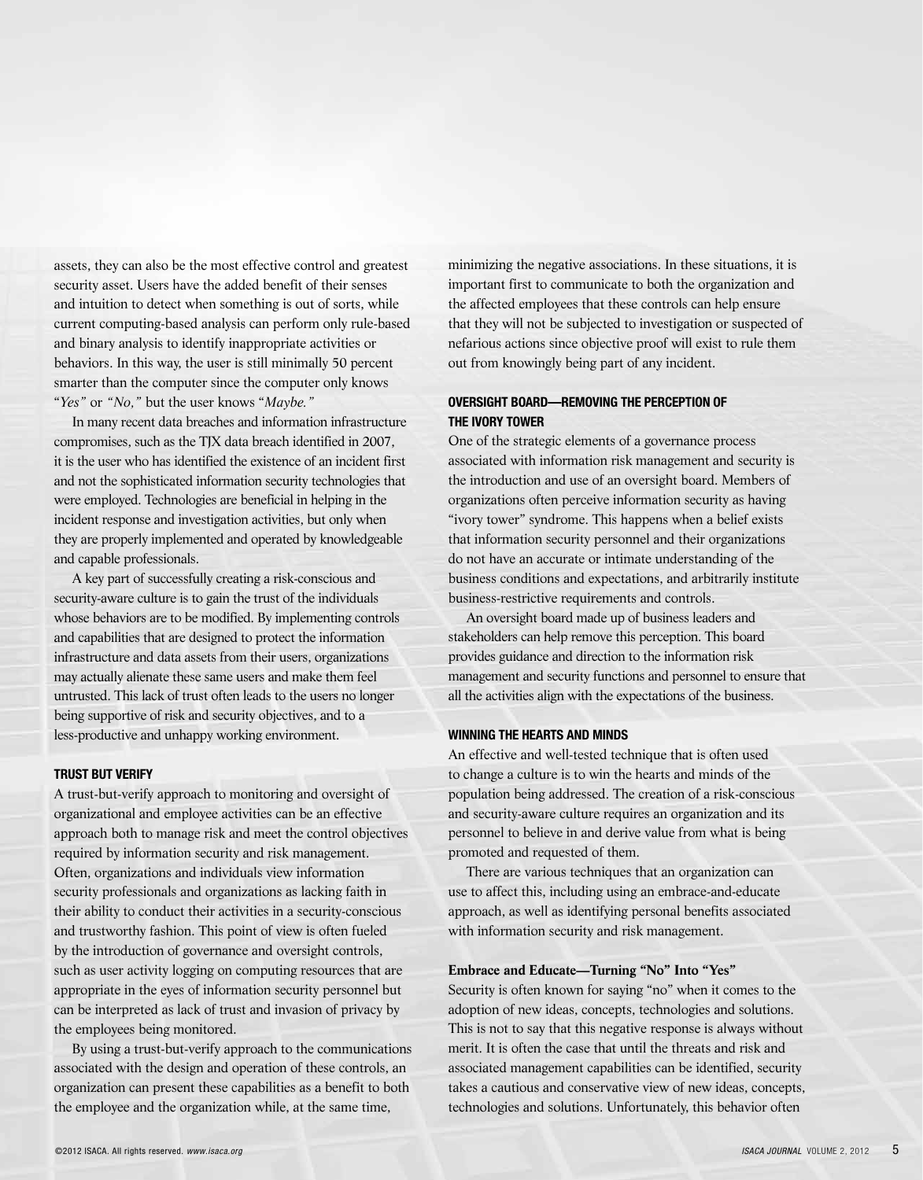assets, they can also be the most effective control and greatest security asset. Users have the added benefit of their senses and intuition to detect when something is out of sorts, while current computing-based analysis can perform only rule-based and binary analysis to identify inappropriate activities or behaviors. In this way, the user is still minimally 50 percent smarter than the computer since the computer only knows "*Yes"* or *"No,"* but the user knows "*Maybe."*

In many recent data breaches and information infrastructure compromises, such as the TJX data breach identified in 2007, it is the user who has identified the existence of an incident first and not the sophisticated information security technologies that were employed. Technologies are beneficial in helping in the incident response and investigation activities, but only when they are properly implemented and operated by knowledgeable and capable professionals.

A key part of successfully creating a risk-conscious and security-aware culture is to gain the trust of the individuals whose behaviors are to be modified. By implementing controls and capabilities that are designed to protect the information infrastructure and data assets from their users, organizations may actually alienate these same users and make them feel untrusted. This lack of trust often leads to the users no longer being supportive of risk and security objectives, and to a less-productive and unhappy working environment.

#### **TRUST BUT VERIFY**

A trust-but-verify approach to monitoring and oversight of organizational and employee activities can be an effective approach both to manage risk and meet the control objectives required by information security and risk management. Often, organizations and individuals view information security professionals and organizations as lacking faith in their ability to conduct their activities in a security-conscious and trustworthy fashion. This point of view is often fueled by the introduction of governance and oversight controls, such as user activity logging on computing resources that are appropriate in the eyes of information security personnel but can be interpreted as lack of trust and invasion of privacy by the employees being monitored.

By using a trust-but-verify approach to the communications associated with the design and operation of these controls, an organization can present these capabilities as a benefit to both the employee and the organization while, at the same time,

minimizing the negative associations. In these situations, it is important first to communicate to both the organization and the affected employees that these controls can help ensure that they will not be subjected to investigation or suspected of nefarious actions since objective proof will exist to rule them out from knowingly being part of any incident.

#### **OVERSIGHT BOARD—REMOVING THE PERCEPTION OF THE IVORY TOWER**

One of the strategic elements of a governance process associated with information risk management and security is the introduction and use of an oversight board. Members of organizations often perceive information security as having "ivory tower" syndrome. This happens when a belief exists that information security personnel and their organizations do not have an accurate or intimate understanding of the business conditions and expectations, and arbitrarily institute business-restrictive requirements and controls.

An oversight board made up of business leaders and stakeholders can help remove this perception. This board provides guidance and direction to the information risk management and security functions and personnel to ensure that all the activities align with the expectations of the business.

#### **WINNING THE HEARTS AND MINDS**

An effective and well-tested technique that is often used to change a culture is to win the hearts and minds of the population being addressed. The creation of a risk-conscious and security-aware culture requires an organization and its personnel to believe in and derive value from what is being promoted and requested of them.

There are various techniques that an organization can use to affect this, including using an embrace-and-educate approach, as well as identifying personal benefits associated with information security and risk management.

#### **Embrace and Educate—Turning "No" Into "Yes"**

Security is often known for saying "no" when it comes to the adoption of new ideas, concepts, technologies and solutions. This is not to say that this negative response is always without merit. It is often the case that until the threats and risk and associated management capabilities can be identified, security takes a cautious and conservative view of new ideas, concepts, technologies and solutions. Unfortunately, this behavior often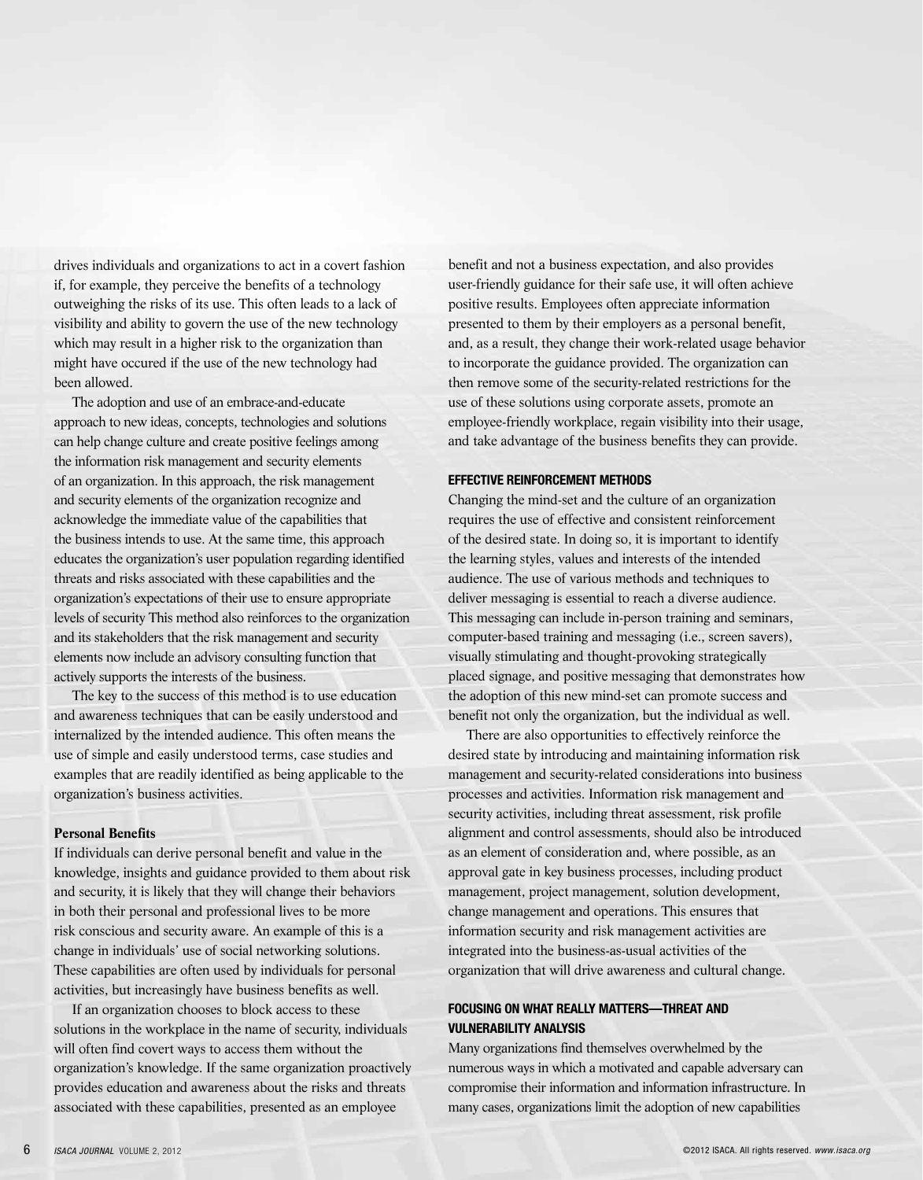drives individuals and organizations to act in a covert fashion if, for example, they perceive the benefits of a technology outweighing the risks of its use. This often leads to a lack of visibility and ability to govern the use of the new technology which may result in a higher risk to the organization than might have occured if the use of the new technology had been allowed.

The adoption and use of an embrace-and-educate approach to new ideas, concepts, technologies and solutions can help change culture and create positive feelings among the information risk management and security elements of an organization. In this approach, the risk management and security elements of the organization recognize and acknowledge the immediate value of the capabilities that the business intends to use. At the same time, this approach educates the organization's user population regarding identified threats and risks associated with these capabilities and the organization's expectations of their use to ensure appropriate levels of security This method also reinforces to the organization and its stakeholders that the risk management and security elements now include an advisory consulting function that actively supports the interests of the business.

The key to the success of this method is to use education and awareness techniques that can be easily understood and internalized by the intended audience. This often means the use of simple and easily understood terms, case studies and examples that are readily identified as being applicable to the organization's business activities.

#### **Personal Benefits**

If individuals can derive personal benefit and value in the knowledge, insights and guidance provided to them about risk and security, it is likely that they will change their behaviors in both their personal and professional lives to be more risk conscious and security aware. An example of this is a change in individuals' use of social networking solutions. These capabilities are often used by individuals for personal activities, but increasingly have business benefits as well.

If an organization chooses to block access to these solutions in the workplace in the name of security, individuals will often find covert ways to access them without the organization's knowledge. If the same organization proactively provides education and awareness about the risks and threats associated with these capabilities, presented as an employee

benefit and not a business expectation, and also provides user-friendly guidance for their safe use, it will often achieve positive results. Employees often appreciate information presented to them by their employers as a personal benefit, and, as a result, they change their work-related usage behavior to incorporate the guidance provided. The organization can then remove some of the security-related restrictions for the use of these solutions using corporate assets, promote an employee-friendly workplace, regain visibility into their usage, and take advantage of the business benefits they can provide.

#### **EFFECTIVE REINFORCEMENT METHODS**

Changing the mind-set and the culture of an organization requires the use of effective and consistent reinforcement of the desired state. In doing so, it is important to identify the learning styles, values and interests of the intended audience. The use of various methods and techniques to deliver messaging is essential to reach a diverse audience. This messaging can include in-person training and seminars, computer-based training and messaging (i.e., screen savers), visually stimulating and thought-provoking strategically placed signage, and positive messaging that demonstrates how the adoption of this new mind-set can promote success and benefit not only the organization, but the individual as well.

There are also opportunities to effectively reinforce the desired state by introducing and maintaining information risk management and security-related considerations into business processes and activities. Information risk management and security activities, including threat assessment, risk profile alignment and control assessments, should also be introduced as an element of consideration and, where possible, as an approval gate in key business processes, including product management, project management, solution development, change management and operations. This ensures that information security and risk management activities are integrated into the business-as-usual activities of the organization that will drive awareness and cultural change.

#### **FOCUSING ON WHAT REALLY MATTERS—THREAT AND VULNERABILITY ANALYSIS**

Many organizations find themselves overwhelmed by the numerous ways in which a motivated and capable adversary can compromise their information and information infrastructure. In many cases, organizations limit the adoption of new capabilities